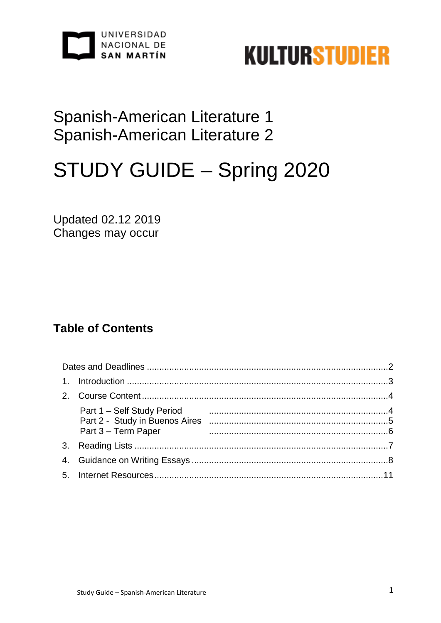



## Spanish-American Literature 1 Spanish-American Literature 2

# STUDY GUIDE - Spring 2020

**Updated 02.12 2019** Changes may occur

## **Table of Contents**

| Part 3 - Term Paper |  |
|---------------------|--|
|                     |  |
|                     |  |
|                     |  |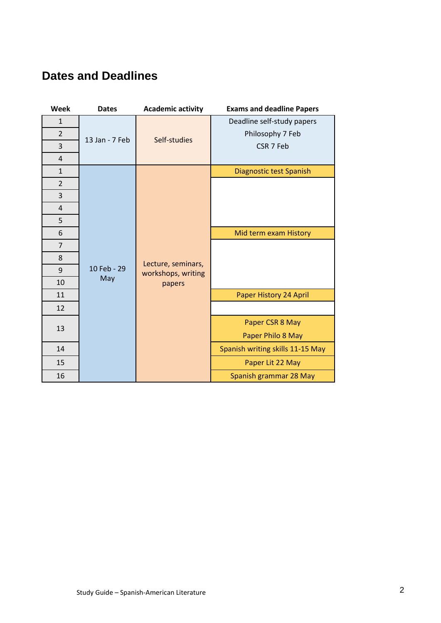## **Dates and Deadlines**

| Week           | <b>Dates</b>       | <b>Academic activity</b>                           | <b>Exams and deadline Papers</b> |
|----------------|--------------------|----------------------------------------------------|----------------------------------|
| $\mathbf{1}$   | 13 Jan - 7 Feb     | Self-studies                                       | Deadline self-study papers       |
| $\overline{2}$ |                    |                                                    | Philosophy 7 Feb                 |
| 3              |                    |                                                    | CSR 7 Feb                        |
| $\overline{4}$ |                    |                                                    |                                  |
| $\mathbf{1}$   | 10 Feb - 29<br>May | Lecture, seminars,<br>workshops, writing<br>papers | Diagnostic test Spanish          |
| $\overline{2}$ |                    |                                                    |                                  |
| 3              |                    |                                                    |                                  |
| $\overline{4}$ |                    |                                                    |                                  |
| 5              |                    |                                                    |                                  |
| 6              |                    |                                                    | Mid term exam History            |
| $\overline{7}$ |                    |                                                    |                                  |
| 8              |                    |                                                    |                                  |
| 9              |                    |                                                    |                                  |
| 10             |                    |                                                    |                                  |
| 11             |                    |                                                    | Paper History 24 April           |
| 12             |                    |                                                    |                                  |
| 13             |                    |                                                    | Paper CSR 8 May                  |
|                |                    |                                                    | Paper Philo 8 May                |
| 14             |                    |                                                    | Spanish writing skills 11-15 May |
| 15             |                    |                                                    | Paper Lit 22 May                 |
| 16             |                    |                                                    | Spanish grammar 28 May           |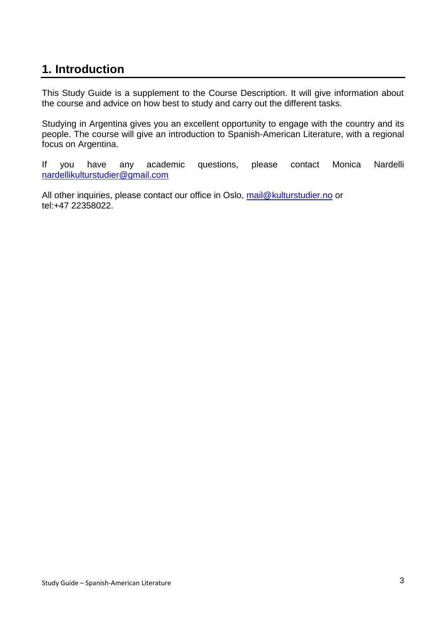## **1. Introduction**

This Study Guide is a supplement to the Course Description. It will give information about the course and advice on how best to study and carry out the different tasks.

Studying in Argentina gives you an excellent opportunity to engage with the country and its people. The course will give an introduction to Spanish-American Literature, with a regional focus on Argentina.

If you have any academic questions, please contact Monica Nardelli [nardellikulturstudier@gmail.com](mailto:nardellikulturstudier@gmail.com)

All other inquiries, please contact our office in Oslo, [mail@kulturstudier.no](mailto:mail@kulturstudier.no) or tel:+47 22358022.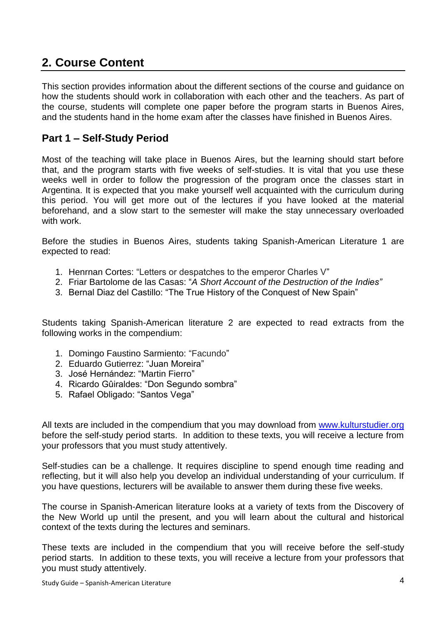## **2. Course Content**

This section provides information about the different sections of the course and guidance on how the students should work in collaboration with each other and the teachers. As part of the course, students will complete one paper before the program starts in Buenos Aires, and the students hand in the home exam after the classes have finished in Buenos Aires.

### **Part 1 – Self-Study Period**

Most of the teaching will take place in Buenos Aires, but the learning should start before that, and the program starts with five weeks of self-studies. It is vital that you use these weeks well in order to follow the progression of the program once the classes start in Argentina. It is expected that you make yourself well acquainted with the curriculum during this period. You will get more out of the lectures if you have looked at the material beforehand, and a slow start to the semester will make the stay unnecessary overloaded with work.

Before the studies in Buenos Aires, students taking Spanish-American Literature 1 are expected to read:

- 1. Henrnan Cortes: "Letters or despatches to the emperor Charles V"
- 2. Friar Bartolome de las Casas: "*A Short Account of the Destruction of the Indies"*
- 3. Bernal Diaz del Castillo: "The True History of the Conquest of New Spain"

Students taking Spanish-American literature 2 are expected to read extracts from the following works in the compendium:

- 1. Domingo Faustino Sarmiento: "Facundo"
- 2. Eduardo Gutierrez: "Juan Moreira"
- 3. José Hernández: "Martin Fierro"
- 4. Ricardo Gûiraldes: "Don Segundo sombra"
- 5. Rafael Obligado: "Santos Vega"

All texts are included in the compendium that you may download from [www.kulturstudier.org](http://www.kulturstudier.org/) before the self-study period starts. In addition to these texts, you will receive a lecture from your professors that you must study attentively.

Self-studies can be a challenge. It requires discipline to spend enough time reading and reflecting, but it will also help you develop an individual understanding of your curriculum. If you have questions, lecturers will be available to answer them during these five weeks.

The course in Spanish-American literature looks at a variety of texts from the Discovery of the New World up until the present, and you will learn about the cultural and historical context of the texts during the lectures and seminars.

These texts are included in the compendium that you will receive before the self-study period starts. In addition to these texts, you will receive a lecture from your professors that you must study attentively.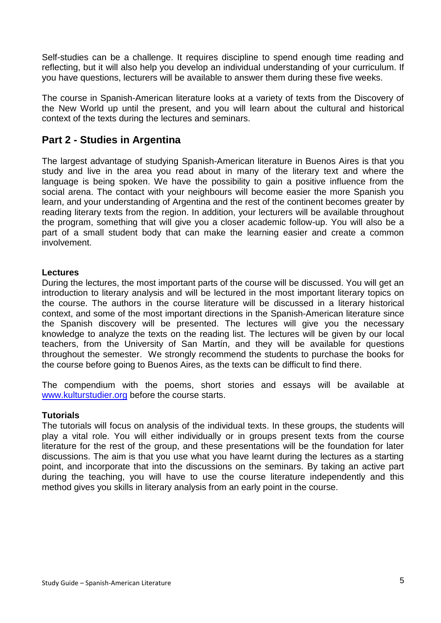Self-studies can be a challenge. It requires discipline to spend enough time reading and reflecting, but it will also help you develop an individual understanding of your curriculum. If you have questions, lecturers will be available to answer them during these five weeks.

The course in Spanish-American literature looks at a variety of texts from the Discovery of the New World up until the present, and you will learn about the cultural and historical context of the texts during the lectures and seminars.

#### **Part 2 - Studies in Argentina**

The largest advantage of studying Spanish-American literature in Buenos Aires is that you study and live in the area you read about in many of the literary text and where the language is being spoken. We have the possibility to gain a positive influence from the social arena. The contact with your neighbours will become easier the more Spanish you learn, and your understanding of Argentina and the rest of the continent becomes greater by reading literary texts from the region. In addition, your lecturers will be available throughout the program, something that will give you a closer academic follow-up. You will also be a part of a small student body that can make the learning easier and create a common involvement.

#### **Lectures**

During the lectures, the most important parts of the course will be discussed. You will get an introduction to literary analysis and will be lectured in the most important literary topics on the course. The authors in the course literature will be discussed in a literary historical context, and some of the most important directions in the Spanish-American literature since the Spanish discovery will be presented. The lectures will give you the necessary knowledge to analyze the texts on the reading list. The lectures will be given by our local teachers, from the University of San Martín, and they will be available for questions throughout the semester. We strongly recommend the students to purchase the books for the course before going to Buenos Aires, as the texts can be difficult to find there.

The compendium with the poems, short stories and essays will be available at [www.kulturstudier.org](http://www.kulturstudier.org/) before the course starts.

#### **Tutorials**

The tutorials will focus on analysis of the individual texts. In these groups, the students will play a vital role. You will either individually or in groups present texts from the course literature for the rest of the group, and these presentations will be the foundation for later discussions. The aim is that you use what you have learnt during the lectures as a starting point, and incorporate that into the discussions on the seminars. By taking an active part during the teaching, you will have to use the course literature independently and this method gives you skills in literary analysis from an early point in the course.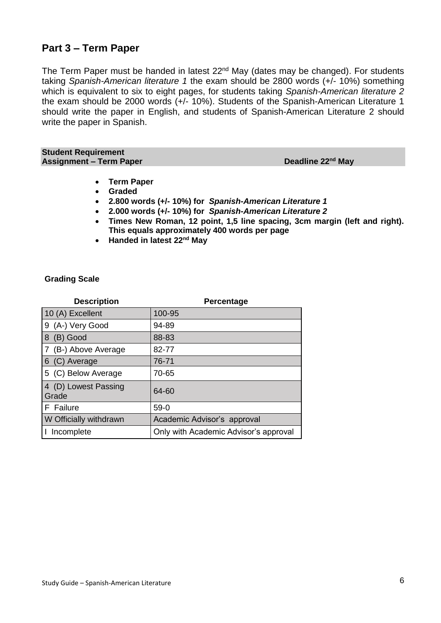#### **Part 3 – Term Paper**

The Term Paper must be handed in latest 22<sup>nd</sup> May (dates may be changed). For students taking *Spanish-American literature 1* the exam should be 2800 words (+/- 10%) something which is equivalent to six to eight pages, for students taking *Spanish-American literature 2* the exam should be 2000 words (+/- 10%). Students of the Spanish-American Literature 1 should write the paper in English, and students of Spanish-American Literature 2 should write the paper in Spanish.

**Student Requirement Assignment - Term Paper** 

**Deadline 22<sup>nd</sup> May** 

- **Term Paper**
- **Graded**
- **2.800 words (+/- 10%) for** *Spanish-American Literature 1*
- **2.000 words (+/- 10%) for** *Spanish-American Literature 2*
- **Times New Roman, 12 point, 1,5 line spacing, 3cm margin (left and right). This equals approximately 400 words per page**
- Handed in latest 22<sup>nd</sup> May

#### **Grading Scale**

| <b>Description</b>            | Percentage                            |
|-------------------------------|---------------------------------------|
| 10 (A) Excellent              | 100-95                                |
| 9 (A-) Very Good              | 94-89                                 |
| 8<br>(B) Good                 | 88-83                                 |
| 7 (B-) Above Average          | 82-77                                 |
| 6 (C) Average                 | 76-71                                 |
| 5 (C) Below Average           | 70-65                                 |
| 4 (D) Lowest Passing<br>Grade | 64-60                                 |
| F Failure                     | $59-0$                                |
| W Officially withdrawn        | Academic Advisor's approval           |
| Incomplete                    | Only with Academic Advisor's approval |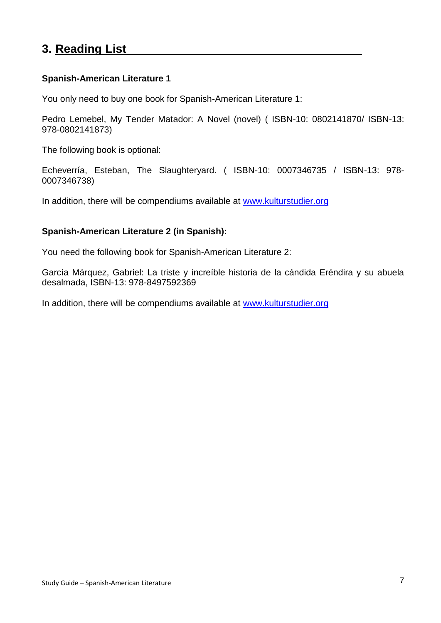## **3. Reading List**

#### **Spanish-American Literature 1**

You only need to buy one book for Spanish-American Literature 1:

Pedro Lemebel, My Tender Matador: A Novel (novel) ( ISBN-10: 0802141870/ ISBN-13: 978-0802141873)

The following book is optional:

Echeverría, Esteban, The Slaughteryard. ( ISBN-10: 0007346735 / ISBN-13: 978- 0007346738)

In addition, there will be compendiums available at [www.kulturstudier.org](http://www.kulturstudier.org/)

#### **Spanish-American Literature 2 (in Spanish):**

You need the following book for Spanish-American Literature 2:

García Márquez, Gabriel: La triste y increíble historia de la cándida Eréndira y su abuela desalmada, ISBN-13: 978-8497592369

In addition, there will be compendiums available at [www.kulturstudier.org](http://www.kulturstudier.org/)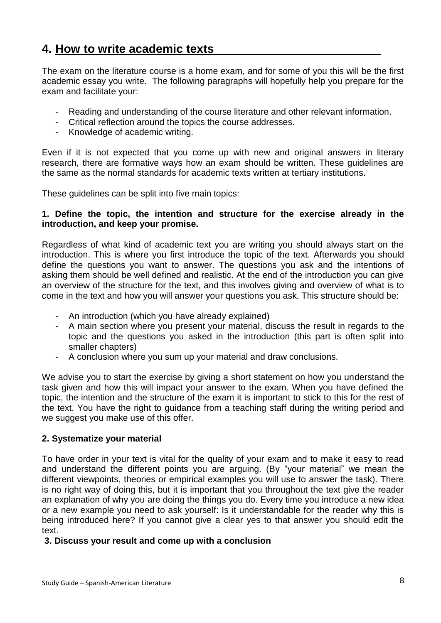## **4. How to write academic texts**

The exam on the literature course is a home exam, and for some of you this will be the first academic essay you write. The following paragraphs will hopefully help you prepare for the exam and facilitate your:

- Reading and understanding of the course literature and other relevant information.
- Critical reflection around the topics the course addresses.
- Knowledge of academic writing.

Even if it is not expected that you come up with new and original answers in literary research, there are formative ways how an exam should be written. These guidelines are the same as the normal standards for academic texts written at tertiary institutions.

These guidelines can be split into five main topics:

#### **1. Define the topic, the intention and structure for the exercise already in the introduction, and keep your promise.**

Regardless of what kind of academic text you are writing you should always start on the introduction. This is where you first introduce the topic of the text. Afterwards you should define the questions you want to answer. The questions you ask and the intentions of asking them should be well defined and realistic. At the end of the introduction you can give an overview of the structure for the text, and this involves giving and overview of what is to come in the text and how you will answer your questions you ask. This structure should be:

- An introduction (which you have already explained)
- A main section where you present your material, discuss the result in regards to the topic and the questions you asked in the introduction (this part is often split into smaller chapters)
- A conclusion where you sum up your material and draw conclusions.

We advise you to start the exercise by giving a short statement on how you understand the task given and how this will impact your answer to the exam. When you have defined the topic, the intention and the structure of the exam it is important to stick to this for the rest of the text. You have the right to guidance from a teaching staff during the writing period and we suggest you make use of this offer.

#### **2. Systematize your material**

To have order in your text is vital for the quality of your exam and to make it easy to read and understand the different points you are arguing. (By "your material" we mean the different viewpoints, theories or empirical examples you will use to answer the task). There is no right way of doing this, but it is important that you throughout the text give the reader an explanation of why you are doing the things you do. Every time you introduce a new idea or a new example you need to ask yourself: Is it understandable for the reader why this is being introduced here? If you cannot give a clear yes to that answer you should edit the text.

#### **3. Discuss your result and come up with a conclusion**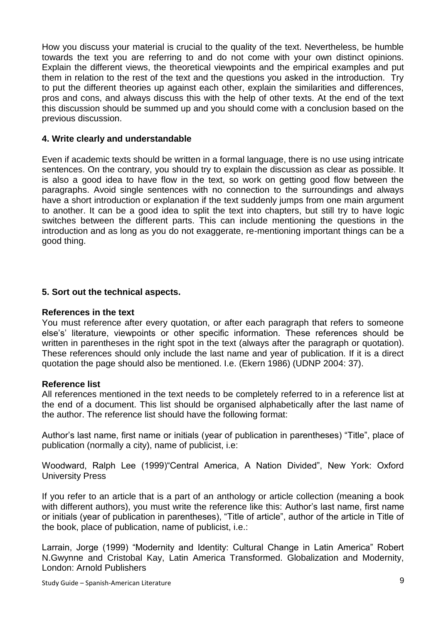How you discuss your material is crucial to the quality of the text. Nevertheless, be humble towards the text you are referring to and do not come with your own distinct opinions. Explain the different views, the theoretical viewpoints and the empirical examples and put them in relation to the rest of the text and the questions you asked in the introduction. Try to put the different theories up against each other, explain the similarities and differences, pros and cons, and always discuss this with the help of other texts. At the end of the text this discussion should be summed up and you should come with a conclusion based on the previous discussion.

#### **4. Write clearly and understandable**

Even if academic texts should be written in a formal language, there is no use using intricate sentences. On the contrary, you should try to explain the discussion as clear as possible. It is also a good idea to have flow in the text, so work on getting good flow between the paragraphs. Avoid single sentences with no connection to the surroundings and always have a short introduction or explanation if the text suddenly jumps from one main argument to another. It can be a good idea to split the text into chapters, but still try to have logic switches between the different parts. This can include mentioning the questions in the introduction and as long as you do not exaggerate, re-mentioning important things can be a good thing.

#### **5. Sort out the technical aspects.**

#### **References in the text**

You must reference after every quotation, or after each paragraph that refers to someone else's' literature, viewpoints or other specific information. These references should be written in parentheses in the right spot in the text (always after the paragraph or quotation). These references should only include the last name and year of publication. If it is a direct quotation the page should also be mentioned. I.e. (Ekern 1986) (UDNP 2004: 37).

#### **Reference list**

All references mentioned in the text needs to be completely referred to in a reference list at the end of a document. This list should be organised alphabetically after the last name of the author. The reference list should have the following format:

Author's last name, first name or initials (year of publication in parentheses) "Title", place of publication (normally a city), name of publicist, i.e:

Woodward, Ralph Lee (1999)"Central America, A Nation Divided", New York: Oxford University Press

If you refer to an article that is a part of an anthology or article collection (meaning a book with different authors), you must write the reference like this: Author's last name, first name or initials (year of publication in parentheses), "Title of article", author of the article in Title of the book, place of publication, name of publicist, i.e.:

Larrain, Jorge (1999) "Modernity and Identity: Cultural Change in Latin America" Robert N.Gwynne and Cristobal Kay, Latin America Transformed. Globalization and Modernity, London: Arnold Publishers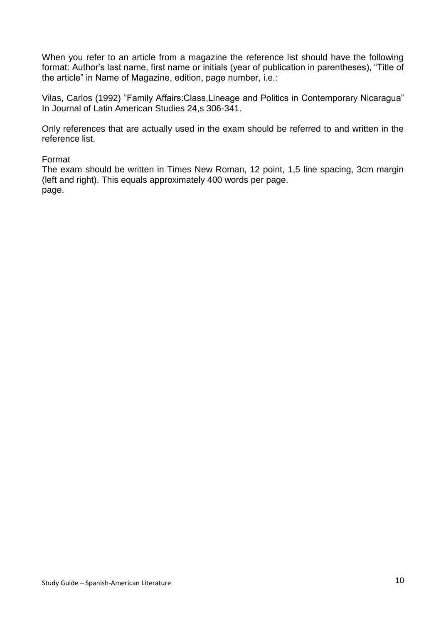When you refer to an article from a magazine the reference list should have the following format: Author's last name, first name or initials (year of publication in parentheses), "Title of the article" in Name of Magazine, edition, page number, i.e.:

Vilas, Carlos (1992) "Family Affairs:Class,Lineage and Politics in Contemporary Nicaragua" In Journal of Latin American Studies 24,s 306-341.

Only references that are actually used in the exam should be referred to and written in the reference list.

#### Format

The exam should be written in Times New Roman, 12 point, 1,5 line spacing, 3cm margin (left and right). This equals approximately 400 words per page. page.